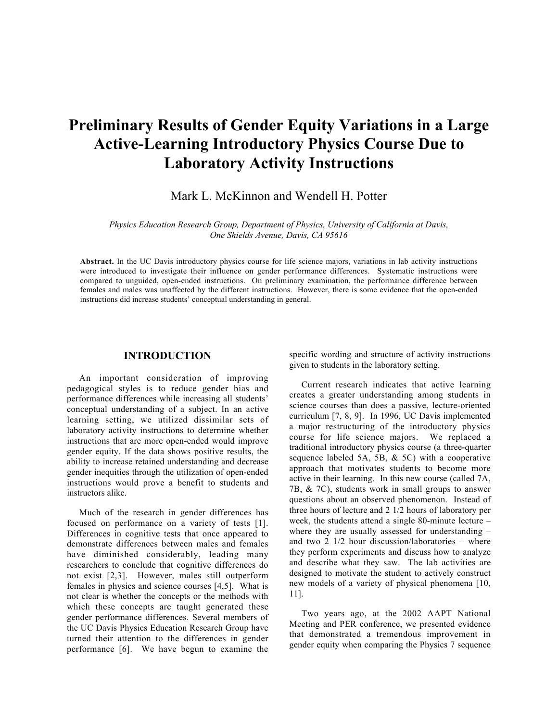# **Preliminary Results of Gender Equity Variations in a Large Active-Learning Introductory Physics Course Due to Laboratory Activity Instructions**

Mark L. McKinnon and Wendell H. Potter

*Physics Education Research Group, Department of Physics, University of California at Davis, One Shields Avenue, Davis, CA 95616*

**Abstract.** In the UC Davis introductory physics course for life science majors, variations in lab activity instructions were introduced to investigate their influence on gender performance differences. Systematic instructions were compared to unguided, open-ended instructions. On preliminary examination, the performance difference between females and males was unaffected by the different instructions. However, there is some evidence that the open-ended instructions did increase students' conceptual understanding in general.

#### **INTRODUCTION**

An important consideration of improving pedagogical styles is to reduce gender bias and performance differences while increasing all students' conceptual understanding of a subject. In an active learning setting, we utilized dissimilar sets of laboratory activity instructions to determine whether instructions that are more open-ended would improve gender equity. If the data shows positive results, the ability to increase retained understanding and decrease gender inequities through the utilization of open-ended instructions would prove a benefit to students and instructors alike.

Much of the research in gender differences has focused on performance on a variety of tests [1]. Differences in cognitive tests that once appeared to demonstrate differences between males and females have diminished considerably, leading many researchers to conclude that cognitive differences do not exist [2,3]. However, males still outperform females in physics and science courses [4,5]. What is not clear is whether the concepts or the methods with which these concepts are taught generated these gender performance differences. Several members of the UC Davis Physics Education Research Group have turned their attention to the differences in gender performance [6]. We have begun to examine the specific wording and structure of activity instructions given to students in the laboratory setting.

Current research indicates that active learning creates a greater understanding among students in science courses than does a passive, lecture-oriented curriculum [7, 8, 9]. In 1996, UC Davis implemented a major restructuring of the introductory physics course for life science majors. We replaced a traditional introductory physics course (a three-quarter sequence labeled 5A, 5B, & 5C) with a cooperative approach that motivates students to become more active in their learning. In this new course (called 7A, 7B, & 7C), students work in small groups to answer questions about an observed phenomenon. Instead of three hours of lecture and 2 1/2 hours of laboratory per week, the students attend a single 80-minute lecture – where they are usually assessed for understanding – and two 2 1/2 hour discussion/laboratories – where they perform experiments and discuss how to analyze and describe what they saw. The lab activities are designed to motivate the student to actively construct new models of a variety of physical phenomena [10, 11].

Two years ago, at the 2002 AAPT National Meeting and PER conference, we presented evidence that demonstrated a tremendous improvement in gender equity when comparing the Physics 7 sequence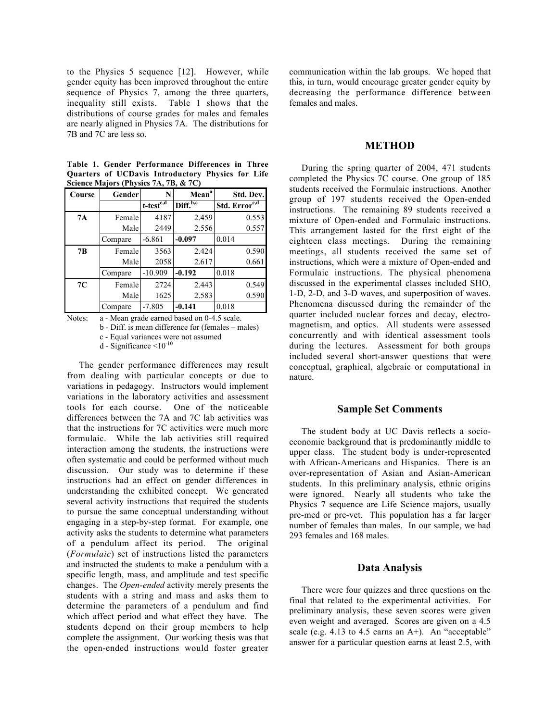to the Physics 5 sequence [12]. However, while gender equity has been improved throughout the entire sequence of Physics 7, among the three quarters, inequality still exists. Table 1 shows that the distributions of course grades for males and females are nearly aligned in Physics 7A. The distributions for 7B and 7C are less so.

**Table 1. Gender Performance Differences in Three Quarters of UCDavis Introductory Physics for Life Science Majors (Physics 7A, 7B, & 7C)**

| Course | Gender  | N               | Mean <sup>a</sup>    | Std. Dev.                 |
|--------|---------|-----------------|----------------------|---------------------------|
|        |         | $t$ -test $c,d$ | Diff. <sup>b,c</sup> | Std. Error <sup>c,d</sup> |
| 7A     | Female  | 4187            | 2.459                | 0.553                     |
|        | Male    | 2449            | 2.556                | 0.557                     |
|        | Compare | $-6.861$        | $-0.097$             | 0.014                     |
| 7B     | Female  | 3563            | 2.424                | 0.590                     |
|        | Male    | 2058            | 2.617                | 0.661                     |
|        | Compare | $-10.909$       | $-0.192$             | 0.018                     |
| 7C     | Female  | 2724            | 2.443                | 0.549                     |
|        | Male    | 1625            | 2.583                | 0.590                     |
|        | Compare | $-7.805$        | $-0.141$             | 0.018                     |

Notes: a - Mean grade earned based on 0-4.5 scale.

b - Diff. is mean difference for (females – males)

c - Equal variances were not assumed

d - Significance  $\leq 10^{-10}$ 

The gender performance differences may result from dealing with particular concepts or due to variations in pedagogy. Instructors would implement variations in the laboratory activities and assessment tools for each course. One of the noticeable differences between the 7A and 7C lab activities was that the instructions for 7C activities were much more formulaic. While the lab activities still required interaction among the students, the instructions were often systematic and could be performed without much discussion. Our study was to determine if these instructions had an effect on gender differences in understanding the exhibited concept. We generated several activity instructions that required the students to pursue the same conceptual understanding without engaging in a step-by-step format. For example, one activity asks the students to determine what parameters of a pendulum affect its period. The original (*Formulaic*) set of instructions listed the parameters and instructed the students to make a pendulum with a specific length, mass, and amplitude and test specific changes. The *Open-ended* activity merely presents the students with a string and mass and asks them to determine the parameters of a pendulum and find which affect period and what effect they have. The students depend on their group members to help complete the assignment. Our working thesis was that the open-ended instructions would foster greater

communication within the lab groups. We hoped that this, in turn, would encourage greater gender equity by decreasing the performance difference between females and males.

## **METHOD**

During the spring quarter of 2004, 471 students completed the Physics 7C course. One group of 185 students received the Formulaic instructions. Another group of 197 students received the Open-ended instructions. The remaining 89 students received a mixture of Open-ended and Formulaic instructions. This arrangement lasted for the first eight of the eighteen class meetings. During the remaining meetings, all students received the same set of instructions, which were a mixture of Open-ended and Formulaic instructions. The physical phenomena discussed in the experimental classes included SHO, 1-D, 2-D, and 3-D waves, and superposition of waves. Phenomena discussed during the remainder of the quarter included nuclear forces and decay, electromagnetism, and optics. All students were assessed concurrently and with identical assessment tools during the lectures. Assessment for both groups included several short-answer questions that were conceptual, graphical, algebraic or computational in nature.

#### **Sample Set Comments**

The student body at UC Davis reflects a socioeconomic background that is predominantly middle to upper class. The student body is under-represented with African-Americans and Hispanics. There is an over-representation of Asian and Asian-American students. In this preliminary analysis, ethnic origins were ignored. Nearly all students who take the Physics 7 sequence are Life Science majors, usually pre-med or pre-vet. This population has a far larger number of females than males. In our sample, we had 293 females and 168 males.

## **Data Analysis**

There were four quizzes and three questions on the final that related to the experimental activities. For preliminary analysis, these seven scores were given even weight and averaged. Scores are given on a 4.5 scale (e.g. 4.13 to 4.5 earns an A+). An "acceptable" answer for a particular question earns at least 2.5, with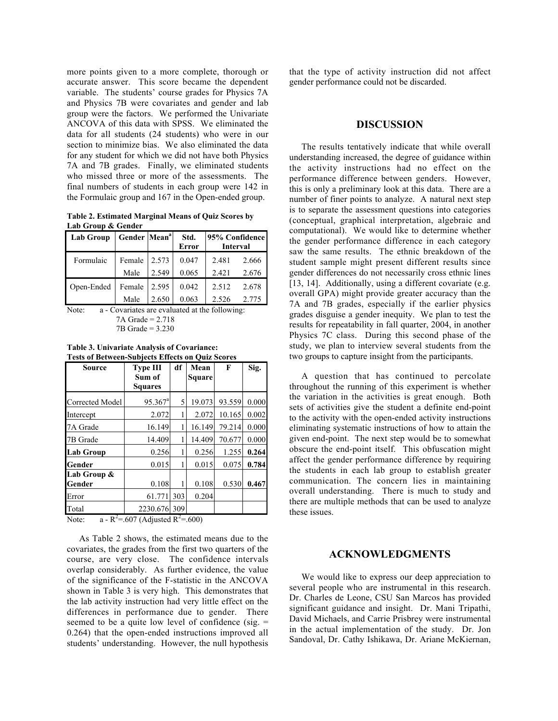more points given to a more complete, thorough or accurate answer. This score became the dependent variable. The students' course grades for Physics 7A and Physics 7B were covariates and gender and lab group were the factors. We performed the Univariate ANCOVA of this data with SPSS. We eliminated the data for all students (24 students) who were in our section to minimize bias. We also eliminated the data for any student for which we did not have both Physics 7A and 7B grades. Finally, we eliminated students who missed three or more of the assessments. The final numbers of students in each group were 142 in the Formulaic group and 167 in the Open-ended group.

**Table 2. Estimated Marginal Means of Quiz Scores by Lab Group & Gender**

| Lab Group  | Gender Mean <sup>a</sup> |       | Std.<br>Error | 95% Confidence<br><b>Interval</b> |       |
|------------|--------------------------|-------|---------------|-----------------------------------|-------|
| Formulaic  | Female                   | 2.573 | 0.047         | 2.481                             | 2.666 |
|            | Male                     | 2.549 | 0.065         | 2.421                             | 2.676 |
| Open-Ended | Female                   | 2.595 | 0.042         | 2.512                             | 2.678 |
|            | Male                     | 2.650 | 0.063         | 2.526                             | 2.775 |

Note: a - Covariates are evaluated at the following: 7A Grade = 2.718 7B Grade = 3.230

**Table 3. Univariate Analysis of Covariance: Tests of Between-Subjects Effects on Quiz Scores**

| <b>Source</b>    | <b>Type III</b>       | df  | Mean   | F      | Sig.  |
|------------------|-----------------------|-----|--------|--------|-------|
|                  | Sum of                |     | Square |        |       |
|                  | <b>Squares</b>        |     |        |        |       |
| Corrected Model  | $95.367$ <sup>a</sup> | 5   | 19.073 | 93.559 | 0.000 |
| Intercept        | 2.072                 |     | 2.072  | 10.165 | 0.002 |
| 7A Grade         | 16.149                |     | 16.149 | 79.214 | 0.000 |
| 7B Grade         | 14.409                |     | 14.409 | 70.677 | 0.000 |
| <b>Lab Group</b> | 0.256                 |     | 0.256  | 1.255  | 0.264 |
| Gender           | 0.015                 |     | 0.015  | 0.075  | 0.784 |
| Lab Group &      |                       |     |        |        |       |
| Gender           | 0.108                 |     | 0.108  | 0.530  | 0.467 |
| Error            | 61.771                | 303 | 0.204  |        |       |
| Total            | 2230.676              | 309 |        |        |       |

Note:  $a - R^2 = 607$  (Adjusted  $R^2 = 600$ )

As Table 2 shows, the estimated means due to the covariates, the grades from the first two quarters of the course, are very close. The confidence intervals overlap considerably. As further evidence, the value of the significance of the F-statistic in the ANCOVA shown in Table 3 is very high. This demonstrates that the lab activity instruction had very little effect on the differences in performance due to gender. There seemed to be a quite low level of confidence (sig.  $=$ 0.264) that the open-ended instructions improved all students' understanding. However, the null hypothesis

that the type of activity instruction did not affect gender performance could not be discarded.

#### **DISCUSSION**

The results tentatively indicate that while overall understanding increased, the degree of guidance within the activity instructions had no effect on the performance difference between genders. However, this is only a preliminary look at this data. There are a number of finer points to analyze. A natural next step is to separate the assessment questions into categories (conceptual, graphical interpretation, algebraic and computational). We would like to determine whether the gender performance difference in each category saw the same results. The ethnic breakdown of the student sample might present different results since gender differences do not necessarily cross ethnic lines [13, 14]. Additionally, using a different covariate (e.g. overall GPA) might provide greater accuracy than the 7A and 7B grades, especially if the earlier physics grades disguise a gender inequity. We plan to test the results for repeatability in fall quarter, 2004, in another Physics 7C class. During this second phase of the study, we plan to interview several students from the two groups to capture insight from the participants.

A question that has continued to percolate throughout the running of this experiment is whether the variation in the activities is great enough. Both sets of activities give the student a definite end-point to the activity with the open-ended activity instructions eliminating systematic instructions of how to attain the given end-point. The next step would be to somewhat obscure the end-point itself. This obfuscation might affect the gender performance difference by requiring the students in each lab group to establish greater communication. The concern lies in maintaining overall understanding. There is much to study and there are multiple methods that can be used to analyze these issues.

#### **ACKNOWLEDGMENTS**

We would like to express our deep appreciation to several people who are instrumental in this research. Dr. Charles de Leone, CSU San Marcos has provided significant guidance and insight. Dr. Mani Tripathi, David Michaels, and Carrie Prisbrey were instrumental in the actual implementation of the study. Dr. Jon Sandoval, Dr. Cathy Ishikawa, Dr. Ariane McKiernan,